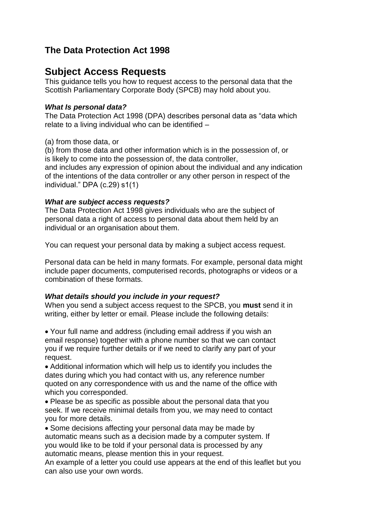# **The Data Protection Act 1998**

# **Subject Access Requests**

This guidance tells you how to request access to the personal data that the Scottish Parliamentary Corporate Body (SPCB) may hold about you.

### *What Is personal data?*

The Data Protection Act 1998 (DPA) describes personal data as "data which relate to a living individual who can be identified –

(a) from those data, or

(b) from those data and other information which is in the possession of, or is likely to come into the possession of, the data controller, and includes any expression of opinion about the individual and any indication

of the intentions of the data controller or any other person in respect of the individual." DPA (c.29) s1(1)

#### *What are subject access requests?*

The Data Protection Act 1998 gives individuals who are the subject of personal data a right of access to personal data about them held by an individual or an organisation about them.

You can request your personal data by making a subject access request.

Personal data can be held in many formats. For example, personal data might include paper documents, computerised records, photographs or videos or a combination of these formats.

## *What details should you include in your request?*

When you send a subject access request to the SPCB, you **must** send it in writing, either by letter or email. Please include the following details:

Your full name and address (including email address if you wish an email response) together with a phone number so that we can contact you if we require further details or if we need to clarify any part of your request.

Additional information which will help us to identify you includes the dates during which you had contact with us, any reference number quoted on any correspondence with us and the name of the office with which you corresponded.

Please be as specific as possible about the personal data that you seek. If we receive minimal details from you, we may need to contact you for more details.

• Some decisions affecting your personal data may be made by automatic means such as a decision made by a computer system. If you would like to be told if your personal data is processed by any automatic means, please mention this in your request.

An example of a letter you could use appears at the end of this leaflet but you can also use your own words.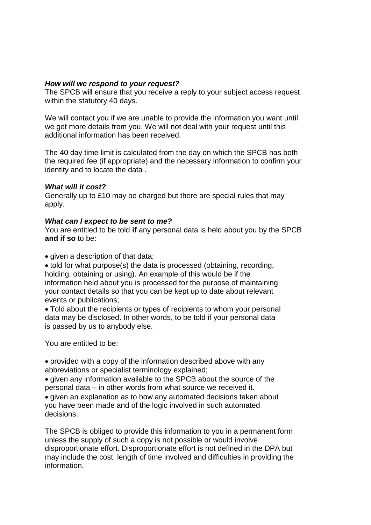## *How will we respond to your request?*

The SPCB will ensure that you receive a reply to your subject access request within the statutory 40 days.

We will contact you if we are unable to provide the information you want until we get more details from you. We will not deal with your request until this additional information has been received.

The 40 day time limit is calculated from the day on which the SPCB has both the required fee (if appropriate) and the necessary information to confirm your identity and to locate the data .

#### *What will it cost?*

Generally up to £10 may be charged but there are special rules that may apply.

#### *What can I expect to be sent to me?*

You are entitled to be told **if** any personal data is held about you by the SPCB **and if so** to be:

• given a description of that data;

told for what purpose(s) the data is processed (obtaining, recording, holding, obtaining or using). An example of this would be if the information held about you is processed for the purpose of maintaining your contact details so that you can be kept up to date about relevant events or publications;

Told about the recipients or types of recipients to whom your personal data may be disclosed. In other words, to be told if your personal data is passed by us to anybody else.

You are entitled to be:

provided with a copy of the information described above with any abbreviations or specialist terminology explained;

• given any information available to the SPCB about the source of the personal data – in other words from what source we received it.

given an explanation as to how any automated decisions taken about you have been made and of the logic involved in such automated decisions.

The SPCB is obliged to provide this information to you in a permanent form unless the supply of such a copy is not possible or would involve disproportionate effort. Disproportionate effort is not defined in the DPA but may include the cost, length of time involved and difficulties in providing the information.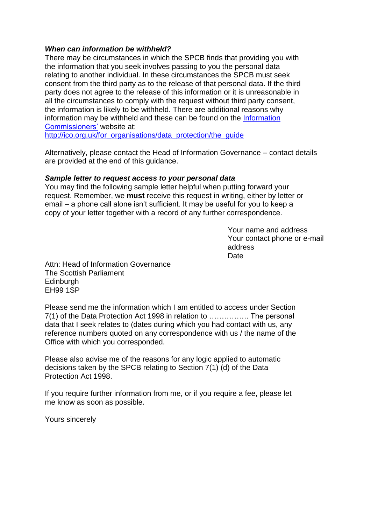### *When can information be withheld?*

There may be circumstances in which the SPCB finds that providing you with the information that you seek involves passing to you the personal data relating to another individual. In these circumstances the SPCB must seek consent from the third party as to the release of that personal data. If the third party does not agree to the release of this information or it is unreasonable in all the circumstances to comply with the request without third party consent, the information is likely to be withheld. There are additional reasons why information may be withheld and these can be found on the **Information** [Commissioners'](http://ico.org.uk/) website at:

[http://ico.org.uk/for\\_organisations/data\\_protection/the\\_guide](http://ico.org.uk/for_organisations/data_protection/the_guide)

Alternatively, please contact the Head of Information Governance – contact details are provided at the end of this guidance.

#### *Sample letter to request access to your personal data*

You may find the following sample letter helpful when putting forward your request. Remember, we **must** receive this request in writing, either by letter or email – a phone call alone isn't sufficient. It may be useful for you to keep a copy of your letter together with a record of any further correspondence.

 Your name and address Your contact phone or e-mail address <u>Date</u> and the contract of the contract of the Date of the Date of the United States of the United States of the U

Attn: Head of Information Governance The Scottish Parliament Edinburgh EH99 1SP

Please send me the information which I am entitled to access under Section 7(1) of the Data Protection Act 1998 in relation to ……………. The personal data that I seek relates to (dates during which you had contact with us, any reference numbers quoted on any correspondence with us / the name of the Office with which you corresponded.

Please also advise me of the reasons for any logic applied to automatic decisions taken by the SPCB relating to Section 7(1) (d) of the Data Protection Act 1998.

If you require further information from me, or if you require a fee, please let me know as soon as possible.

Yours sincerely